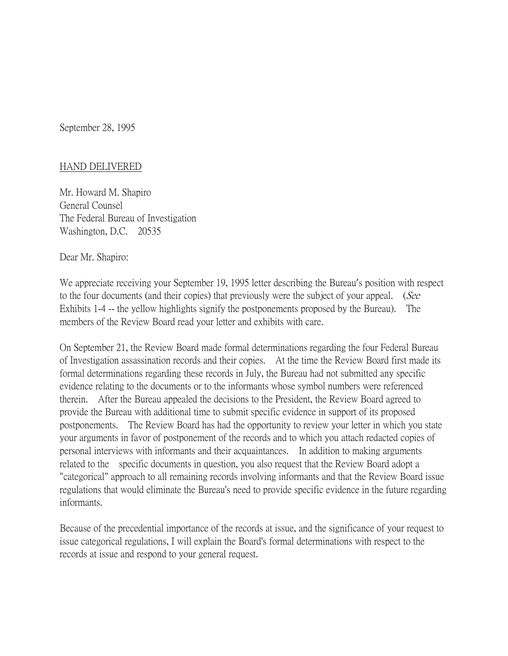September 28, 1995

## HAND DELIVERED

Mr. Howard M. Shapiro General Counsel The Federal Bureau of Investigation Washington, D.C. 20535

Dear Mr. Shapiro:

We appreciate receiving your September 19, 1995 letter describing the Bureau's position with respect to the four documents (and their copies) that previously were the subject of your appeal. (See Exhibits 1-4 -- the yellow highlights signify the postponements proposed by the Bureau). The members of the Review Board read your letter and exhibits with care.

On September 21, the Review Board made formal determinations regarding the four Federal Bureau of Investigation assassination records and their copies. At the time the Review Board first made its formal determinations regarding these records in July, the Bureau had not submitted any specific evidence relating to the documents or to the informants whose symbol numbers were referenced therein. After the Bureau appealed the decisions to the President, the Review Board agreed to provide the Bureau with additional time to submit specific evidence in support of its proposed postponements. The Review Board has had the opportunity to review your letter in which you state your arguments in favor of postponement of the records and to which you attach redacted copies of personal interviews with informants and their acquaintances. In addition to making arguments related to the specific documents in question, you also request that the Review Board adopt a "categorical" approach to all remaining records involving informants and that the Review Board issue regulations that would eliminate the Bureau's need to provide specific evidence in the future regarding informants.

Because of the precedential importance of the records at issue, and the significance of your request to issue categorical regulations, I will explain the Board's formal determinations with respect to the records at issue and respond to your general request.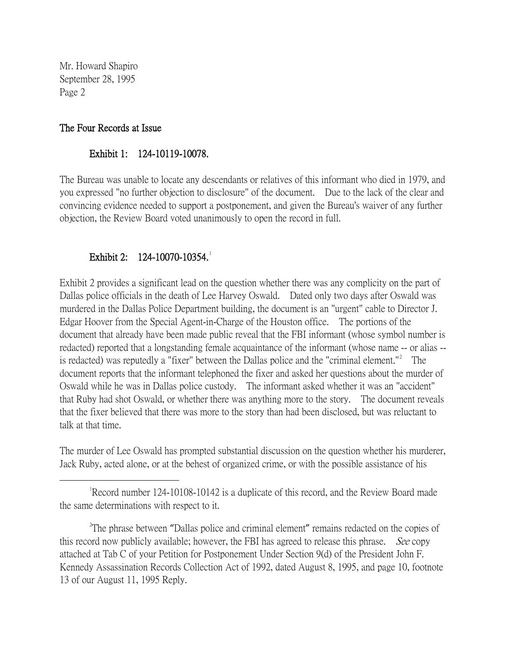## The Four Records at Issue

#### Exhibit 1: 124-10119-10078.

The Bureau was unable to locate any descendants or relatives of this informant who died in 1979, and you expressed "no further objection to disclosure" of the document. Due to the lack of the clear and convincing evidence needed to support a postponement, and given the Bureau's waiver of any further objection, the Review Board voted unanimously to open the record in full.

## Exhibit 2: [1](#page-1-0)24-10070-10354.

Exhibit 2 provides a significant lead on the question whether there was any complicity on the part of Dallas police officials in the death of Lee Harvey Oswald. Dated only two days after Oswald was murdered in the Dallas Police Department building, the document is an "urgent" cable to Director J. Edgar Hoover from the Special Agent-in-Charge of the Houston office. The portions of the document that already have been made public reveal that the FBI informant (whose symbol number is redacted) reported that a longstanding female acquaintance of the informant (whose name -- or alias -- is redacted) was reputedly a "fixer" between the Dallas police and the "criminal element."<sup>[2](#page-1-1)</sup> The document reports that the informant telephoned the fixer and asked her questions about the murder of Oswald while he was in Dallas police custody. The informant asked whether it was an "accident" that Ruby had shot Oswald, or whether there was anything more to the story. The document reveals that the fixer believed that there was more to the story than had been disclosed, but was reluctant to talk at that time.

The murder of Lee Oswald has prompted substantial discussion on the question whether his murderer, Jack Ruby, acted alone, or at the behest of organized crime, or with the possible assistance of his

<span id="page-1-0"></span> $\overline{\phantom{a}}$ Record number 124-10108-10142 is a duplicate of this record, and the Review Board made the same determinations with respect to it.

<span id="page-1-1"></span><sup>2</sup>The phrase between "Dallas police and criminal element" remains redacted on the copies of this record now publicly available; however, the FBI has agreed to release this phrase. *See* copy attached at Tab C of your Petition for Postponement Under Section 9(d) of the President John F. Kennedy Assassination Records Collection Act of 1992, dated August 8, 1995, and page 10, footnote 13 of our August 11, 1995 Reply.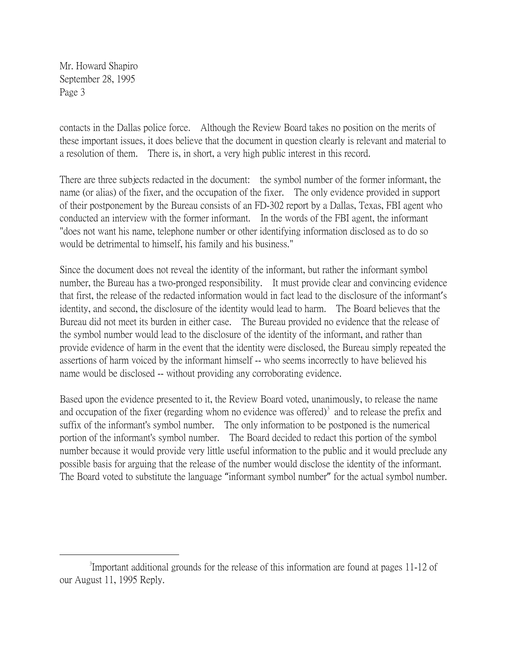contacts in the Dallas police force. Although the Review Board takes no position on the merits of these important issues, it does believe that the document in question clearly is relevant and material to a resolution of them. There is, in short, a very high public interest in this record.

There are three subjects redacted in the document: the symbol number of the former informant, the name (or alias) of the fixer, and the occupation of the fixer. The only evidence provided in support of their postponement by the Bureau consists of an FD-302 report by a Dallas, Texas, FBI agent who conducted an interview with the former informant. In the words of the FBI agent, the informant "does not want his name, telephone number or other identifying information disclosed as to do so would be detrimental to himself, his family and his business."

Since the document does not reveal the identity of the informant, but rather the informant symbol number, the Bureau has a two-pronged responsibility. It must provide clear and convincing evidence that first, the release of the redacted information would in fact lead to the disclosure of the informant's identity, and second, the disclosure of the identity would lead to harm. The Board believes that the Bureau did not meet its burden in either case. The Bureau provided no evidence that the release of the symbol number would lead to the disclosure of the identity of the informant, and rather than provide evidence of harm in the event that the identity were disclosed, the Bureau simply repeated the assertions of harm voiced by the informant himself -- who seems incorrectly to have believed his name would be disclosed -- without providing any corroborating evidence.

Based upon the evidence presented to it, the Review Board voted, unanimously, to release the name and occupation of the fixer (regarding whom no evidence was offered) $\delta$  and to release the prefix and suffix of the informant's symbol number. The only information to be postponed is the numerical portion of the informant's symbol number. The Board decided to redact this portion of the symbol number because it would provide very little useful information to the public and it would preclude any possible basis for arguing that the release of the number would disclose the identity of the informant. The Board voted to substitute the language "informant symbol number" for the actual symbol number.

<span id="page-2-0"></span> $\frac{1}{3}$ Important additional grounds for the release of this information are found at pages 11-12 of our August 11, 1995 Reply.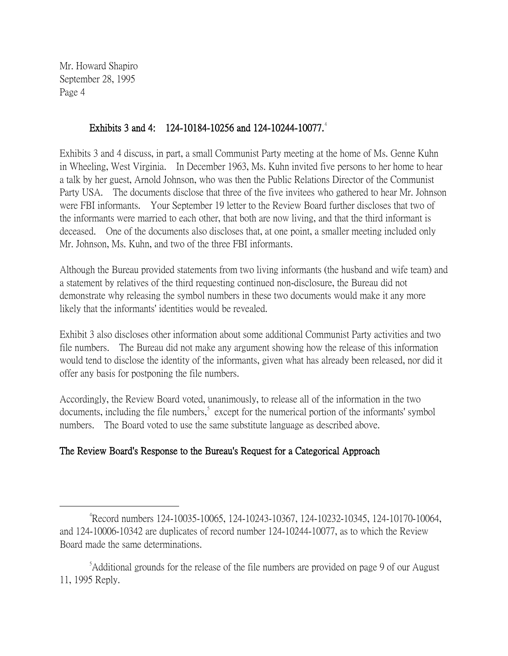## Exhibits 3 and [4](#page-3-0): 124-10184-10256 and 124-10244-10077.<sup>4</sup>

Exhibits 3 and 4 discuss, in part, a small Communist Party meeting at the home of Ms. Genne Kuhn in Wheeling, West Virginia. In December 1963, Ms. Kuhn invited five persons to her home to hear a talk by her guest, Arnold Johnson, who was then the Public Relations Director of the Communist Party USA. The documents disclose that three of the five invitees who gathered to hear Mr. Johnson were FBI informants. Your September 19 letter to the Review Board further discloses that two of the informants were married to each other, that both are now living, and that the third informant is deceased. One of the documents also discloses that, at one point, a smaller meeting included only Mr. Johnson, Ms. Kuhn, and two of the three FBI informants.

Although the Bureau provided statements from two living informants (the husband and wife team) and a statement by relatives of the third requesting continued non-disclosure, the Bureau did not demonstrate why releasing the symbol numbers in these two documents would make it any more likely that the informants' identities would be revealed.

Exhibit 3 also discloses other information about some additional Communist Party activities and two file numbers. The Bureau did not make any argument showing how the release of this information would tend to disclose the identity of the informants, given what has already been released, nor did it offer any basis for postponing the file numbers.

Accordingly, the Review Board voted, unanimously, to release all of the information in the two documents, including the file numbers,<sup>[5](#page-3-1)</sup> except for the numerical portion of the informants' symbol numbers. The Board voted to use the same substitute language as described above.

# The Review Board's Response to the Bureau's Request for a Categorical Approach

<span id="page-3-0"></span> $\frac{1}{4}$ Record numbers 124-10035-10065, 124-10243-10367, 124-10232-10345, 124-10170-10064, and 124-10006-10342 are duplicates of record number 124-10244-10077, as to which the Review Board made the same determinations.

<span id="page-3-1"></span><sup>&</sup>lt;sup>5</sup>Additional grounds for the release of the file numbers are provided on page 9 of our August 11, 1995 Reply.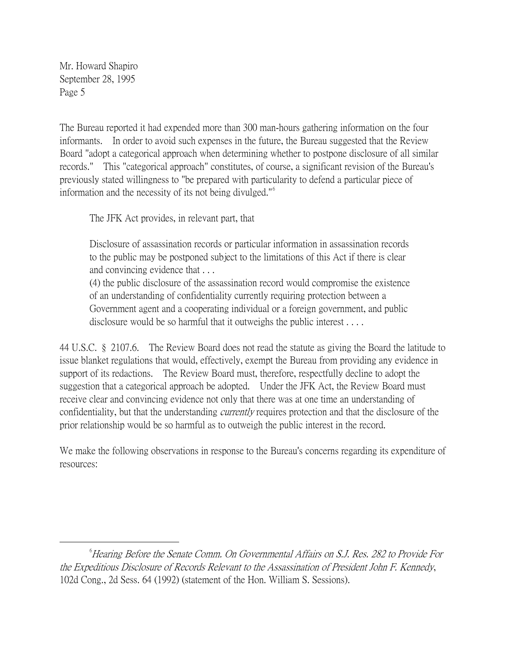The Bureau reported it had expended more than 300 man-hours gathering information on the four informants. In order to avoid such expenses in the future, the Bureau suggested that the Review Board "adopt a categorical approach when determining whether to postpone disclosure of all similar records." This "categorical approach" constitutes, of course, a significant revision of the Bureau's previously stated willingness to "be prepared with particularity to defend a particular piece of information and the necessity of its not being divulged."[6](#page-4-0)

The JFK Act provides, in relevant part, that

Disclosure of assassination records or particular information in assassination records to the public may be postponed subject to the limitations of this Act if there is clear and convincing evidence that . . .

(4) the public disclosure of the assassination record would compromise the existence of an understanding of confidentiality currently requiring protection between a Government agent and a cooperating individual or a foreign government, and public disclosure would be so harmful that it outweighs the public interest . . . .

44 U.S.C. § 2107.6. The Review Board does not read the statute as giving the Board the latitude to issue blanket regulations that would, effectively, exempt the Bureau from providing any evidence in support of its redactions. The Review Board must, therefore, respectfully decline to adopt the suggestion that a categorical approach be adopted. Under the JFK Act, the Review Board must receive clear and convincing evidence not only that there was at one time an understanding of confidentiality, but that the understanding *currently* requires protection and that the disclosure of the prior relationship would be so harmful as to outweigh the public interest in the record.

We make the following observations in response to the Bureau's concerns regarding its expenditure of resources:

<span id="page-4-0"></span> $\overline{\phantom{a}}$  $^6$ Hearing Before the Senate Comm. On Governmental Affairs on S.J. Res. 282 to Provide For the Expeditious Disclosure of Records Relevant to the Assassination of President John F. Kennedy, 102d Cong., 2d Sess. 64 (1992) (statement of the Hon. William S. Sessions).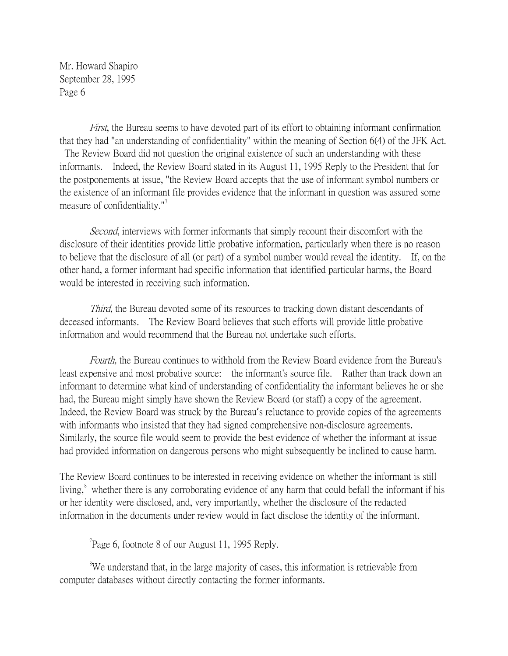First, the Bureau seems to have devoted part of its effort to obtaining informant confirmation that they had "an understanding of confidentiality" within the meaning of Section 6(4) of the JFK Act. The Review Board did not question the original existence of such an understanding with these informants. Indeed, the Review Board stated in its August 11, 1995 Reply to the President that for the postponements at issue, "the Review Board accepts that the use of informant symbol numbers or the existence of an informant file provides evidence that the informant in question was assured some measure of confidentiality." $\frac{1}{2}$ 

Second, interviews with former informants that simply recount their discomfort with the disclosure of their identities provide little probative information, particularly when there is no reason to believe that the disclosure of all (or part) of a symbol number would reveal the identity. If, on the other hand, a former informant had specific information that identified particular harms, the Board would be interested in receiving such information.

Third, the Bureau devoted some of its resources to tracking down distant descendants of deceased informants. The Review Board believes that such efforts will provide little probative information and would recommend that the Bureau not undertake such efforts.

Fourth, the Bureau continues to withhold from the Review Board evidence from the Bureau's least expensive and most probative source: the informant's source file. Rather than track down an informant to determine what kind of understanding of confidentiality the informant believes he or she had, the Bureau might simply have shown the Review Board (or staff) a copy of the agreement. Indeed, the Review Board was struck by the Bureau's reluctance to provide copies of the agreements with informants who insisted that they had signed comprehensive non-disclosure agreements. Similarly, the source file would seem to provide the best evidence of whether the informant at issue had provided information on dangerous persons who might subsequently be inclined to cause harm.

The Review Board continues to be interested in receiving evidence on whether the informant is still living,<sup>[8](#page-5-1)</sup> whether there is any corroborating evidence of any harm that could befall the informant if his or her identity were disclosed, and, very importantly, whether the disclosure of the redacted information in the documents under review would in fact disclose the identity of the informant.

<span id="page-5-1"></span><sup>8</sup>We understand that, in the large majority of cases, this information is retrievable from computer databases without directly contacting the former informants.

<span id="page-5-0"></span> $\overline{\phantom{a}}$ Page 6, footnote 8 of our August 11, 1995 Reply.